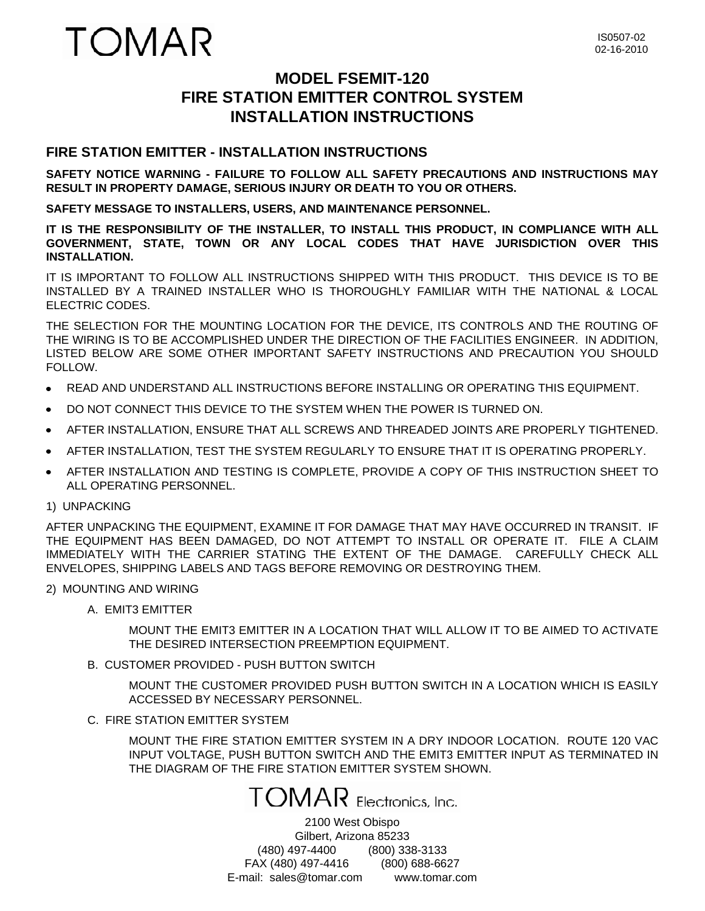# **TOMAR**

## **MODEL FSEMIT-120 FIRE STATION EMITTER CONTROL SYSTEM INSTALLATION INSTRUCTIONS**

### **FIRE STATION EMITTER - INSTALLATION INSTRUCTIONS**

**SAFETY NOTICE WARNING - FAILURE TO FOLLOW ALL SAFETY PRECAUTIONS AND INSTRUCTIONS MAY RESULT IN PROPERTY DAMAGE, SERIOUS INJURY OR DEATH TO YOU OR OTHERS.**

**SAFETY MESSAGE TO INSTALLERS, USERS, AND MAINTENANCE PERSONNEL.**

**IT IS THE RESPONSIBILITY OF THE INSTALLER, TO INSTALL THIS PRODUCT, IN COMPLIANCE WITH ALL GOVERNMENT, STATE, TOWN OR ANY LOCAL CODES THAT HAVE JURISDICTION OVER THIS INSTALLATION.**

IT IS IMPORTANT TO FOLLOW ALL INSTRUCTIONS SHIPPED WITH THIS PRODUCT. THIS DEVICE IS TO BE INSTALLED BY A TRAINED INSTALLER WHO IS THOROUGHLY FAMILIAR WITH THE NATIONAL & LOCAL ELECTRIC CODES.

THE SELECTION FOR THE MOUNTING LOCATION FOR THE DEVICE, ITS CONTROLS AND THE ROUTING OF THE WIRING IS TO BE ACCOMPLISHED UNDER THE DIRECTION OF THE FACILITIES ENGINEER. IN ADDITION, LISTED BELOW ARE SOME OTHER IMPORTANT SAFETY INSTRUCTIONS AND PRECAUTION YOU SHOULD FOLLOW.

- READ AND UNDERSTAND ALL INSTRUCTIONS BEFORE INSTALLING OR OPERATING THIS EQUIPMENT.
- $\bullet$ DO NOT CONNECT THIS DEVICE TO THE SYSTEM WHEN THE POWER IS TURNED ON.
- AFTER INSTALLATION, ENSURE THAT ALL SCREWS AND THREADED JOINTS ARE PROPERLY TIGHTENED.  $\bullet$
- AFTER INSTALLATION, TEST THE SYSTEM REGULARLY TO ENSURE THAT IT IS OPERATING PROPERLY.
- AFTER INSTALLATION AND TESTING IS COMPLETE, PROVIDE A COPY OF THIS INSTRUCTION SHEET TO ALL OPERATING PERSONNEL.

#### 1) UNPACKING

AFTER UNPACKING THE EQUIPMENT, EXAMINE IT FOR DAMAGE THAT MAY HAVE OCCURRED IN TRANSIT. IF THE EQUIPMENT HAS BEEN DAMAGED, DO NOT ATTEMPT TO INSTALL OR OPERATE IT. FILE A CLAIM IMMEDIATELY WITH THE CARRIER STATING THE EXTENT OF THE DAMAGE. CAREFULLY CHECK ALL ENVELOPES, SHIPPING LABELS AND TAGS BEFORE REMOVING OR DESTROYING THEM.

2) MOUNTING AND WIRING

A. EMIT3 EMITTER

MOUNT THE EMIT3 EMITTER IN A LOCATION THAT WILL ALLOW IT TO BE AIMED TO ACTIVATE THE DESIRED INTERSECTION PREEMPTION EQUIPMENT.

B. CUSTOMER PROVIDED - PUSH BUTTON SWITCH

MOUNT THE CUSTOMER PROVIDED PUSH BUTTON SWITCH IN A LOCATION WHICH IS EASILY ACCESSED BY NECESSARY PERSONNEL.

C. FIRE STATION EMITTER SYSTEM

MOUNT THE FIRE STATION EMITTER SYSTEM IN A DRY INDOOR LOCATION. ROUTE 120 VAC INPUT VOLTAGE, PUSH BUTTON SWITCH AND THE EMIT3 EMITTER INPUT AS TERMINATED IN THE DIAGRAM OF THE FIRE STATION EMITTER SYSTEM SHOWN.

# **TOMAR** Electronics, Inc.

2100 West Obispo Gilbert, Arizona 85233 (480) 497-4400 (800) 338-3133 FAX (480) 497-4416 (800) 688-6627 E-mail: sales@tomar.com www.tomar.com